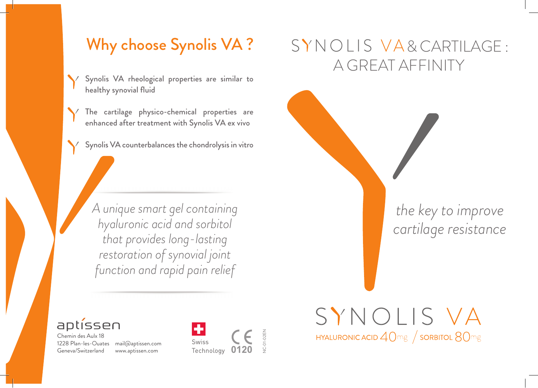## Why choose Synolis VA ?

Synolis VA rheological properties are similar to healthy synovial fluid

The cartilage physico-chemical properties are enhanced after treatment with Synolis VA ex vivo

Synolis VA counterbalances the chondrolysis in vitro

*A unique smart gel containing hyaluronic acid and sorbitol that provides long-lasting restoration of synovial joint function and rapid pain relief*

# SYNOLIS VA& CARTILAGE: A GREAT AFFINITY

SYNOLIS VA

**HYALURONIC ACID**  $40 \text{mg}$  / SORBITOL  $80 \text{mg}$ 

*the key to improve cartilage resistance*



Chemin des Aulx 18 1228 Plan-les-Ouates mail@aptissen.com Geneva/Switzerland

www.aptissen.com